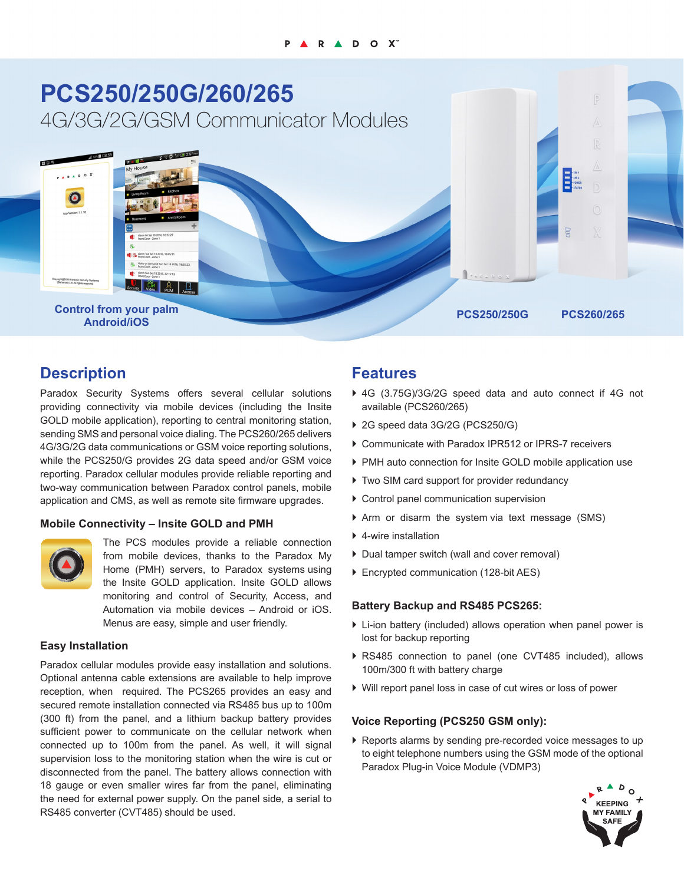

## **Description**

Paradox Security Systems offers several cellular solutions providing connectivity via mobile devices (including the Insite GOLD mobile application), reporting to central monitoring station, sending SMS and personal voice dialing. The PCS260/265 delivers 4G/3G/2G data communications or GSM voice reporting solutions, while the PCS250/G provides 2G data speed and/or GSM voice reporting. Paradox cellular modules provide reliable reporting and two-way communication between Paradox control panels, mobile application and CMS, as well as remote site firmware upgrades.

## **Mobile Connectivity – Insite GOLD and PMH**



The PCS modules provide a reliable connection from mobile devices, thanks to the Paradox My Home (PMH) servers, to Paradox systems using the Insite GOLD application. Insite GOLD allows monitoring and control of Security, Access, and Automation via mobile devices – Android or iOS. Menus are easy, simple and user friendly.

#### **Easy Installation**

Paradox cellular modules provide easy installation and solutions. Optional antenna cable extensions are available to help improve reception, when required. The PCS265 provides an easy and secured remote installation connected via RS485 bus up to 100m (300 ft) from the panel, and a lithium backup battery provides sufficient power to communicate on the cellular network when connected up to 100m from the panel. As well, it will signal supervision loss to the monitoring station when the wire is cut or disconnected from the panel. The battery allows connection with 18 gauge or even smaller wires far from the panel, eliminating the need for external power supply. On the panel side, a serial to RS485 converter (CVT485) should be used.

## **Features**

- ▶ 4G (3.75G)/3G/2G speed data and auto connect if 4G not available (PCS260/265)
- ▶ 2G speed data 3G/2G (PCS250/G)
- ▶ Communicate with Paradox IPR512 or IPRS-7 receivers
- ▶ PMH auto connection for Insite GOLD mobile application use
- ▶ Two SIM card support for provider redundancy
- $\triangleright$  Control panel communication supervision
- $\blacktriangleright$  Arm or disarm the system via text message (SMS)
- $\blacktriangleright$  4-wire installation
- ▶ Dual tamper switch (wall and cover removal)
- ▶ Encrypted communication (128-bit AES)

## **Battery Backup and RS485 PCS265:**

- $\triangleright$  Li-ion battery (included) allows operation when panel power is lost for backup reporting
- ▶ RS485 connection to panel (one CVT485 included), allows 100m/300 ft with battery charge
- ▶ Will report panel loss in case of cut wires or loss of power

## **Voice Reporting (PCS250 GSM only):**

 $\blacktriangleright$  Reports alarms by sending pre-recorded voice messages to up to eight telephone numbers using the GSM mode of the optional Paradox Plug-in Voice Module (VDMP3)